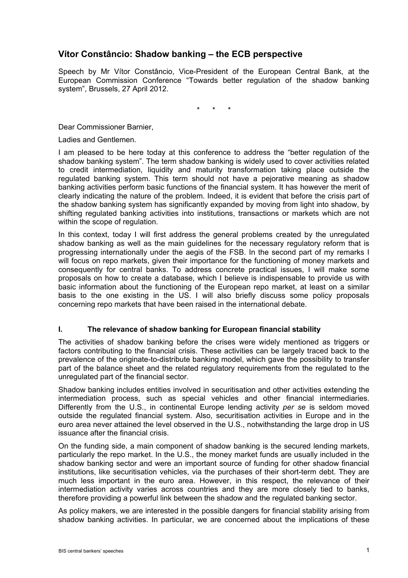# **Vítor Constâncio: Shadow banking – the ECB perspective**

Speech by Mr Vítor Constâncio, Vice-President of the European Central Bank, at the European Commission Conference "Towards better regulation of the shadow banking system", Brussels, 27 April 2012.

\* \* \*

Dear Commissioner Barnier,

Ladies and Gentlemen.

I am pleased to be here today at this conference to address the "better regulation of the shadow banking system". The term shadow banking is widely used to cover activities related to credit intermediation, liquidity and maturity transformation taking place outside the regulated banking system. This term should not have a pejorative meaning as shadow banking activities perform basic functions of the financial system. It has however the merit of clearly indicating the nature of the problem. Indeed, it is evident that before the crisis part of the shadow banking system has significantly expanded by moving from light into shadow, by shifting regulated banking activities into institutions, transactions or markets which are not within the scope of regulation.

In this context, today I will first address the general problems created by the unregulated shadow banking as well as the main guidelines for the necessary regulatory reform that is progressing internationally under the aegis of the FSB. In the second part of my remarks I will focus on repo markets, given their importance for the functioning of money markets and consequently for central banks. To address concrete practical issues, I will make some proposals on how to create a database, which I believe is indispensable to provide us with basic information about the functioning of the European repo market, at least on a similar basis to the one existing in the US. I will also briefly discuss some policy proposals concerning repo markets that have been raised in the international debate.

# **I. The relevance of shadow banking for European financial stability**

The activities of shadow banking before the crises were widely mentioned as triggers or factors contributing to the financial crisis. These activities can be largely traced back to the prevalence of the originate-to-distribute banking model, which gave the possibility to transfer part of the balance sheet and the related regulatory requirements from the regulated to the unregulated part of the financial sector.

Shadow banking includes entities involved in securitisation and other activities extending the intermediation process, such as special vehicles and other financial intermediaries. Differently from the U.S., in continental Europe lending activity *per se* is seldom moved outside the regulated financial system. Also, securitisation activities in Europe and in the euro area never attained the level observed in the U.S., notwithstanding the large drop in US issuance after the financial crisis.

On the funding side, a main component of shadow banking is the secured lending markets, particularly the repo market. In the U.S., the money market funds are usually included in the shadow banking sector and were an important source of funding for other shadow financial institutions, like securitisation vehicles, via the purchases of their short-term debt. They are much less important in the euro area. However, in this respect, the relevance of their intermediation activity varies across countries and they are more closely tied to banks, therefore providing a powerful link between the shadow and the regulated banking sector.

As policy makers, we are interested in the possible dangers for financial stability arising from shadow banking activities. In particular, we are concerned about the implications of these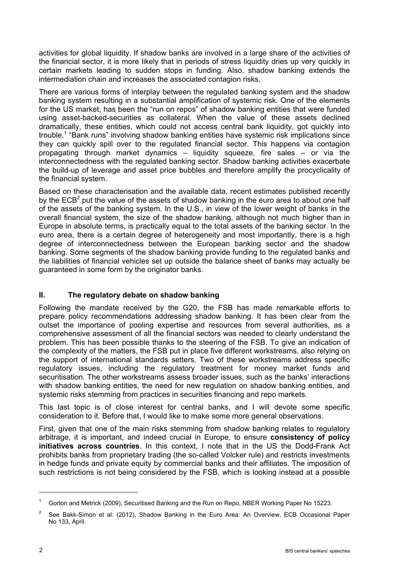activities for global liquidity. If shadow banks are involved in a large share of the activities of the financial sector, it is more likely that in periods of stress liquidity dries up very quickly in certain markets leading to sudden stops in funding. Also, shadow banking extends the intermediation chain and increases the associated contagion risks.

There are various forms of interplay between the regulated banking system and the shadow banking system resulting in a substantial amplification of systemic risk. One of the elements for the US market, has been the "run on repos" of shadow banking entities that were funded using asset-backed-securities as collateral. When the value of these assets declined dramatically, these entities, which could not access central bank liquidity, got quickly into trouble.<sup>1</sup> "Bank runs" involving shadow banking entities have systemic risk implications since they can quickly spill over to the regulated financial sector. This happens via contagion propagating through market dynamics – liquidity squeeze, fire sales – or via the interconnectedness with the regulated banking sector. Shadow banking activities exacerbate the build-up of leverage and asset price bubbles and therefore amplify the procyclicality of the financial system.

Based on these characterisation and the available data, recent estimates published recently by the ECB<sup>2</sup> put the value of the assets of shadow banking in the euro area to about one half of the assets of the banking system. In the U.S., in view of the lower weight of banks in the overall financial system, the size of the shadow banking, although not much higher than in Europe in absolute terms, is practically equal to the total assets of the banking sector. In the euro area, there is a certain degree of heterogeneity and most importantly, there is a high degree of interconnectedness between the European banking sector and the shadow banking. Some segments of the shadow banking provide funding to the regulated banks and the liabilities of financial vehicles set up outside the balance sheet of banks may actually be guaranteed in some form by the originator banks.

# **II. The regulatory debate on shadow banking**

Following the mandate received by the G20, the FSB has made remarkable efforts to prepare policy recommendations addressing shadow banking. It has been clear from the outset the importance of pooling expertise and resources from several authorities, as a comprehensive assessment of all the financial sectors was needed to clearly understand the problem. This has been possible thanks to the steering of the FSB. To give an indication of the complexity of the matters, the FSB put in place five different workstreams, also relying on the support of international standards setters. Two of these workstreams address specific regulatory issues, including the regulatory treatment for money market funds and securitisation. The other workstreams assess broader issues, such as the banks' interactions with shadow banking entities, the need for new regulation on shadow banking entities, and systemic risks stemming from practices in securities financing and repo markets.

This last topic is of close interest for central banks, and I will devote some specific consideration to it. Before that, I would like to make some more general observations.

First, given that one of the main risks stemming from shadow banking relates to regulatory arbitrage, it is important, and indeed crucial in Europe, to ensure **consistency of policy initiatives across countries**. In this context, I note that in the US the Dodd-Frank Act prohibits banks from proprietary trading (the so-called Volcker rule) and restricts investments in hedge funds and private equity by commercial banks and their affiliates. The imposition of such restrictions is not being considered by the FSB, which is looking instead at a possible

<sup>1</sup> Gorton and Metrick (2009), Securitised Banking and the Run on Repo, NBER Working Paper No 15223.

<sup>2</sup> See Bakk-Simon et al. (2012), Shadow Banking in the Euro Area: An Overview, ECB Occasional Paper No 133, April.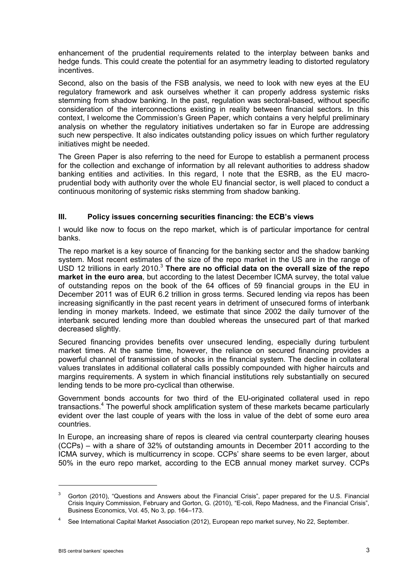enhancement of the prudential requirements related to the interplay between banks and hedge funds. This could create the potential for an asymmetry leading to distorted regulatory incentives.

Second, also on the basis of the FSB analysis, we need to look with new eyes at the EU regulatory framework and ask ourselves whether it can properly address systemic risks stemming from shadow banking. In the past, regulation was sectoral-based, without specific consideration of the interconnections existing in reality between financial sectors. In this context, I welcome the Commission's Green Paper, which contains a very helpful preliminary analysis on whether the regulatory initiatives undertaken so far in Europe are addressing such new perspective. It also indicates outstanding policy issues on which further regulatory initiatives might be needed.

The Green Paper is also referring to the need for Europe to establish a permanent process for the collection and exchange of information by all relevant authorities to address shadow banking entities and activities. In this regard, I note that the ESRB, as the EU macroprudential body with authority over the whole EU financial sector, is well placed to conduct a continuous monitoring of systemic risks stemming from shadow banking.

# **III. Policy issues concerning securities financing: the ECB's views**

I would like now to focus on the repo market, which is of particular importance for central banks.

The repo market is a key source of financing for the banking sector and the shadow banking system. Most recent estimates of the size of the repo market in the US are in the range of USD 12 trillions in early 2010.<sup>3</sup> **There are no official data on the overall size of the repo market in the euro area**, but according to the latest December ICMA survey, the total value of outstanding repos on the book of the 64 offices of 59 financial groups in the EU in December 2011 was of EUR 6.2 trillion in gross terms. Secured lending via repos has been increasing significantly in the past recent years in detriment of unsecured forms of interbank lending in money markets. Indeed, we estimate that since 2002 the daily turnover of the interbank secured lending more than doubled whereas the unsecured part of that marked decreased slightly.

Secured financing provides benefits over unsecured lending, especially during turbulent market times. At the same time, however, the reliance on secured financing provides a powerful channel of transmission of shocks in the financial system. The decline in collateral values translates in additional collateral calls possibly compounded with higher haircuts and margins requirements. A system in which financial institutions rely substantially on secured lending tends to be more pro-cyclical than otherwise.

Government bonds accounts for two third of the EU-originated collateral used in repo transactions.<sup>4</sup> The powerful shock amplification system of these markets became particularly evident over the last couple of years with the loss in value of the debt of some euro area countries.

In Europe, an increasing share of repos is cleared via central counterparty clearing houses (CCPs) – with a share of 32% of outstanding amounts in December 2011 according to the ICMA survey, which is multicurrency in scope. CCPs' share seems to be even larger, about 50% in the euro repo market, according to the ECB annual money market survey. CCPs

<sup>3</sup> Gorton (2010), "Questions and Answers about the Financial Crisis", paper prepared for the U.S. Financial Crisis Inquiry Commission, February and Gorton, G. (2010), "E-coli, Repo Madness, and the Financial Crisis", Business Economics, Vol. 45, No 3, pp. 164–173.

<sup>4</sup> See International Capital Market Association (2012), European repo market survey, No 22, September.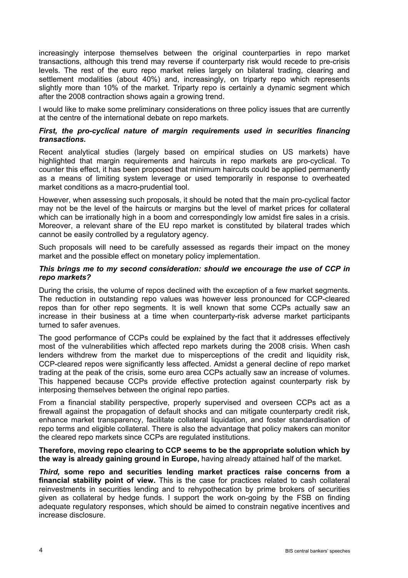increasingly interpose themselves between the original counterparties in repo market transactions, although this trend may reverse if counterparty risk would recede to pre-crisis levels. The rest of the euro repo market relies largely on bilateral trading, clearing and settlement modalities (about 40%) and, increasingly, on triparty repo which represents slightly more than 10% of the market. Triparty repo is certainly a dynamic segment which after the 2008 contraction shows again a growing trend.

I would like to make some preliminary considerations on three policy issues that are currently at the centre of the international debate on repo markets.

#### *First, the pro-cyclical nature of margin requirements used in securities financing transactions.*

Recent analytical studies (largely based on empirical studies on US markets) have highlighted that margin requirements and haircuts in repo markets are pro-cyclical. To counter this effect, it has been proposed that minimum haircuts could be applied permanently as a means of limiting system leverage or used temporarily in response to overheated market conditions as a macro-prudential tool.

However, when assessing such proposals, it should be noted that the main pro-cyclical factor may not be the level of the haircuts or margins but the level of market prices for collateral which can be irrationally high in a boom and correspondingly low amidst fire sales in a crisis. Moreover, a relevant share of the EU repo market is constituted by bilateral trades which cannot be easily controlled by a regulatory agency.

Such proposals will need to be carefully assessed as regards their impact on the money market and the possible effect on monetary policy implementation.

#### *This brings me to my second consideration: should we encourage the use of CCP in repo markets?*

During the crisis, the volume of repos declined with the exception of a few market segments. The reduction in outstanding repo values was however less pronounced for CCP-cleared repos than for other repo segments. It is well known that some CCPs actually saw an increase in their business at a time when counterparty-risk adverse market participants turned to safer avenues.

The good performance of CCPs could be explained by the fact that it addresses effectively most of the vulnerabilities which affected repo markets during the 2008 crisis. When cash lenders withdrew from the market due to misperceptions of the credit and liquidity risk, CCP-cleared repos were significantly less affected. Amidst a general decline of repo market trading at the peak of the crisis, some euro area CCPs actually saw an increase of volumes. This happened because CCPs provide effective protection against counterparty risk by interposing themselves between the original repo parties.

From a financial stability perspective, properly supervised and overseen CCPs act as a firewall against the propagation of default shocks and can mitigate counterparty credit risk, enhance market transparency, facilitate collateral liquidation, and foster standardisation of repo terms and eligible collateral. There is also the advantage that policy makers can monitor the cleared repo markets since CCPs are regulated institutions.

**Therefore, moving repo clearing to CCP seems to be the appropriate solution which by the way is already gaining ground in Europe,** having already attained half of the market.

*Third,* **some repo and securities lending market practices raise concerns from a financial stability point of view.** This is the case for practices related to cash collateral reinvestments in securities lending and to rehypothecation by prime brokers of securities given as collateral by hedge funds. I support the work on-going by the FSB on finding adequate regulatory responses, which should be aimed to constrain negative incentives and increase disclosure.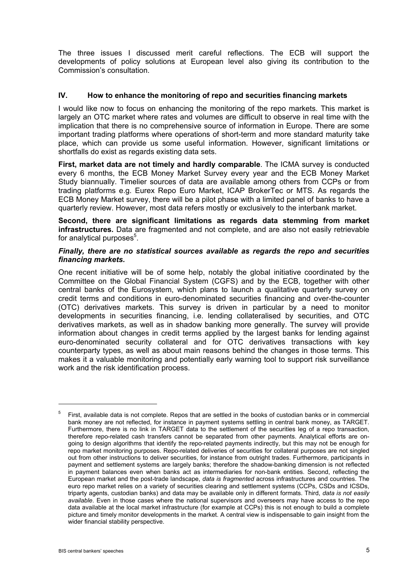The three issues I discussed merit careful reflections. The ECB will support the developments of policy solutions at European level also giving its contribution to the Commission's consultation.

# **IV. How to enhance the monitoring of repo and securities financing markets**

I would like now to focus on enhancing the monitoring of the repo markets. This market is largely an OTC market where rates and volumes are difficult to observe in real time with the implication that there is no comprehensive source of information in Europe. There are some important trading platforms where operations of short-term and more standard maturity take place, which can provide us some useful information. However, significant limitations or shortfalls do exist as regards existing data sets.

**First, market data are not timely and hardly comparable**. The ICMA survey is conducted every 6 months, the ECB Money Market Survey every year and the ECB Money Market Study biannually. Timelier sources of data are available among others from CCPs or from trading platforms e.g. Eurex Repo Euro Market, ICAP BrokerTec or MTS. As regards the ECB Money Market survey, there will be a pilot phase with a limited panel of banks to have a quarterly review. However, most data refers mostly or exclusively to the interbank market.

**Second, there are significant limitations as regards data stemming from market infrastructures***.* Data are fragmented and not complete, and are also not easily retrievable for analytical purposes<sup>5</sup>.

#### *Finally, there are no statistical sources available as regards the repo and securities financing markets.*

One recent initiative will be of some help, notably the global initiative coordinated by the Committee on the Global Financial System (CGFS) and by the ECB, together with other central banks of the Eurosystem, which plans to launch a qualitative quarterly survey on credit terms and conditions in euro-denominated securities financing and over-the-counter (OTC) derivatives markets. This survey is driven in particular by a need to monitor developments in securities financing, i.e. lending collateralised by securities, and OTC derivatives markets, as well as in shadow banking more generally. The survey will provide information about changes in credit terms applied by the largest banks for lending against euro-denominated security collateral and for OTC derivatives transactions with key counterparty types, as well as about main reasons behind the changes in those terms. This makes it a valuable monitoring and potentially early warning tool to support risk surveillance work and the risk identification process.

 $\overline{a}$ 

<sup>5</sup> First, available data is not complete. Repos that are settled in the books of custodian banks or in commercial bank money are not reflected, for instance in payment systems settling in central bank money, as TARGET. Furthermore, there is no link in TARGET data to the settlement of the securities leg of a repo transaction, therefore repo-related cash transfers cannot be separated from other payments. Analytical efforts are ongoing to design algorithms that identify the repo-related payments indirectly, but this may not be enough for repo market monitoring purposes. Repo-related deliveries of securities for collateral purposes are not singled out from other instructions to deliver securities, for instance from outright trades. Furthermore, participants in payment and settlement systems are largely banks; therefore the shadow-banking dimension is not reflected in payment balances even when banks act as intermediaries for non-bank entities. Second, reflecting the European market and the post-trade landscape, *data is fragmented* across infrastructures and countries. The euro repo market relies on a variety of securities clearing and settlement systems (CCPs, CSDs and ICSDs, triparty agents, custodian banks) and data may be available only in different formats. Third, *data is not easily available*. Even in those cases where the national supervisors and overseers may have access to the repo data available at the local market infrastructure (for example at CCPs) this is not enough to build a complete picture and timely monitor developments in the market. A central view is indispensable to gain insight from the wider financial stability perspective.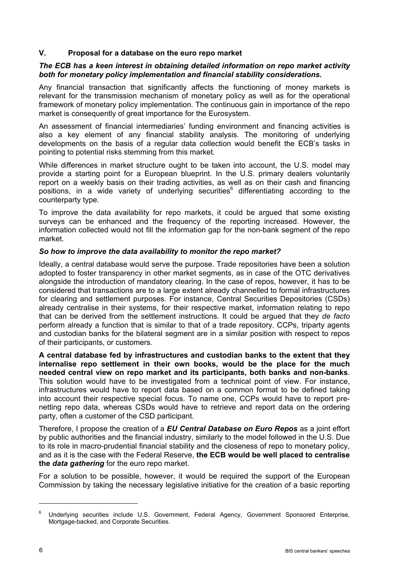# **V. Proposal for a database on the euro repo market**

#### *The ECB has a keen interest in obtaining detailed information on repo market activity both for monetary policy implementation and financial stability considerations.*

Any financial transaction that significantly affects the functioning of money markets is relevant for the transmission mechanism of monetary policy as well as for the operational framework of monetary policy implementation. The continuous gain in importance of the repo market is consequently of great importance for the Eurosystem.

An assessment of financial intermediaries' funding environment and financing activities is also a key element of any financial stability analysis. The monitoring of underlying developments on the basis of a regular data collection would benefit the ECB's tasks in pointing to potential risks stemming from this market.

While differences in market structure ought to be taken into account, the U.S. model may provide a starting point for a European blueprint. In the U.S. primary dealers voluntarily report on a weekly basis on their trading activities, as well as on their cash and financing positions, in a wide variety of underlying securities<sup>6</sup> differentiating according to the counterparty type.

To improve the data availability for repo markets, it could be argued that some existing surveys can be enhanced and the frequency of the reporting increased. However, the information collected would not fill the information gap for the non-bank segment of the repo market.

#### *So how to improve the data availability to monitor the repo market?*

Ideally, a central database would serve the purpose. Trade repositories have been a solution adopted to foster transparency in other market segments, as in case of the OTC derivatives alongside the introduction of mandatory clearing. In the case of repos, however, it has to be considered that transactions are to a large extent already channelled to formal infrastructures for clearing and settlement purposes. For instance, Central Securities Depositories (CSDs) already centralise in their systems, for their respective market, information relating to repo that can be derived from the settlement instructions. It could be argued that they *de facto* perform already a function that is similar to that of a trade repository. CCPs, triparty agents and custodian banks for the bilateral segment are in a similar position with respect to repos of their participants, or customers.

**A central database fed by infrastructures and custodian banks to the extent that they internalise repo settlement in their own books, would be the place for the much needed central view on repo market and its participants, both banks and non-banks**. This solution would have to be investigated from a technical point of view. For instance, infrastructures would have to report data based on a common format to be defined taking into account their respective special focus. To name one, CCPs would have to report prenetting repo data, whereas CSDs would have to retrieve and report data on the ordering party, often a customer of the CSD participant.

Therefore, I propose the creation of a *EU Central Database on Euro Repos* as a joint effort by public authorities and the financial industry, similarly to the model followed in the U.S. Due to its role in macro-prudential financial stability and the closeness of repo to monetary policy, and as it is the case with the Federal Reserve, **the ECB would be well placed to centralise the** *data gathering* for the euro repo market.

For a solution to be possible, however, it would be required the support of the European Commission by taking the necessary legislative initiative for the creation of a basic reporting

<sup>6</sup> Underlying securities include U.S. Government, Federal Agency, Government Sponsored Enterprise, Mortgage-backed, and Corporate Securities.